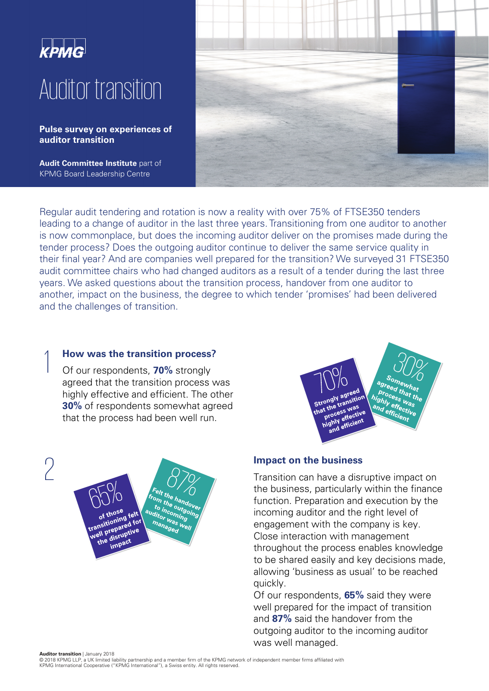

**Pulse survey on experiences of auditor transition** 

**Audit Committee Institute** part of KPMG Board Leadership Centre



Regular audit tendering and rotation is now a reality with over 75% of FTSE350 tenders leading to a change of auditor in the last three years. Transitioning from one auditor to another is now commonplace, but does the incoming auditor deliver on the promises made during the tender process? Does the outgoing auditor continue to deliver the same service quality in their final year? And are companies well prepared for the transition? We surveyed 31 FTSE350 audit committee chairs who had changed auditors as a result of a tender during the last three years. We asked questions about the transition process, handover from one auditor to another, impact on the business, the degree to which tender 'promises' had been delivered and the challenges of transition.

# 1

**How was the transition process?**<br>Of our respondents, **70%** strongly Of our respondents, **70%** strongly agreed that the transition process was highly effective and efficient. The other **30%** of respondents somewhat agreed that the process had been well run.

**Impact on the business**<br> **Impact on the business**<br> **Impact on the business**<br> **Impact on the business** <sup>c</sup>elt the handove<br><sup>om</sup> the handove<br>to in <sup>o</sup>utn relt the handover<br>fom the handover<br>to incomitgoing<br>iditor waning in the <sup>rand</sup><br>to incoming<br>ditor was ...<br>ma. was ... to the outgoing  $\overline{\text{of those}}$ of those<br>transitioning felt<br>transitioning for of the ling terms<br>ransitioning for<br>well prepared for<br>well prepared: managed ell prepared<br>ell prepared<br>the disruptive<br>the impact disrue<br>impact



Transition can have a disruptive impact on the business, particularly within the finance function. Preparation and execution by the incoming auditor and the right level of engagement with the company is key. Close interaction with management throughout the process enables knowledge to be shared easily and key decisions made, allowing 'business as usual' to be reached quickly.

Of our respondents, **65%** said they were well prepared for the impact of transition and **87%** said the handover from the outgoing auditor to the incoming auditor was well managed.

 © 2018 KPMG LLP, a UK limited liability partnership and a member firm of the KPMG network of independent member firms affiliated with KPMG International Cooperative ("KPMG International"), a Swiss entity. All rights reserved.